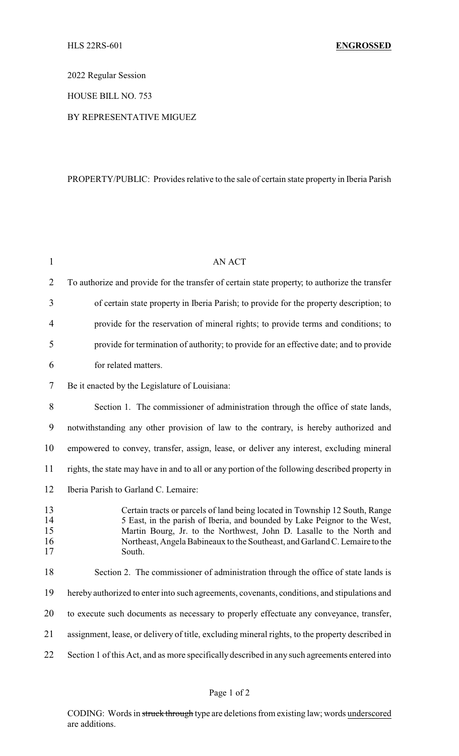2022 Regular Session

HOUSE BILL NO. 753

BY REPRESENTATIVE MIGUEZ

## PROPERTY/PUBLIC: Provides relative to the sale of certain state property in Iberia Parish

| $\mathbf{1}$               | <b>AN ACT</b>                                                                                                                                                                                                                                                                                                             |
|----------------------------|---------------------------------------------------------------------------------------------------------------------------------------------------------------------------------------------------------------------------------------------------------------------------------------------------------------------------|
| $\overline{2}$             | To authorize and provide for the transfer of certain state property; to authorize the transfer                                                                                                                                                                                                                            |
| 3                          | of certain state property in Iberia Parish; to provide for the property description; to                                                                                                                                                                                                                                   |
| 4                          | provide for the reservation of mineral rights; to provide terms and conditions; to                                                                                                                                                                                                                                        |
| 5                          | provide for termination of authority; to provide for an effective date; and to provide                                                                                                                                                                                                                                    |
| 6                          | for related matters.                                                                                                                                                                                                                                                                                                      |
| 7                          | Be it enacted by the Legislature of Louisiana:                                                                                                                                                                                                                                                                            |
| 8                          | Section 1. The commissioner of administration through the office of state lands,                                                                                                                                                                                                                                          |
| 9                          | notwithstanding any other provision of law to the contrary, is hereby authorized and                                                                                                                                                                                                                                      |
| 10                         | empowered to convey, transfer, assign, lease, or deliver any interest, excluding mineral                                                                                                                                                                                                                                  |
| 11                         | rights, the state may have in and to all or any portion of the following described property in                                                                                                                                                                                                                            |
| 12                         | Iberia Parish to Garland C. Lemaire:                                                                                                                                                                                                                                                                                      |
| 13<br>14<br>15<br>16<br>17 | Certain tracts or parcels of land being located in Township 12 South, Range<br>5 East, in the parish of Iberia, and bounded by Lake Peignor to the West,<br>Martin Bourg, Jr. to the Northwest, John D. Lasalle to the North and<br>Northeast, Angela Babineaux to the Southeast, and Garland C. Lemaire to the<br>South. |
| 18                         | Section 2. The commissioner of administration through the office of state lands is                                                                                                                                                                                                                                        |
| 19                         | hereby authorized to enter into such agreements, covenants, conditions, and stipulations and                                                                                                                                                                                                                              |
| 20                         | to execute such documents as necessary to properly effectuate any conveyance, transfer,                                                                                                                                                                                                                                   |
| 21                         | assignment, lease, or delivery of title, excluding mineral rights, to the property described in                                                                                                                                                                                                                           |
| 22                         | Section 1 of this Act, and as more specifically described in any such agreements entered into                                                                                                                                                                                                                             |

CODING: Words in struck through type are deletions from existing law; words underscored are additions.